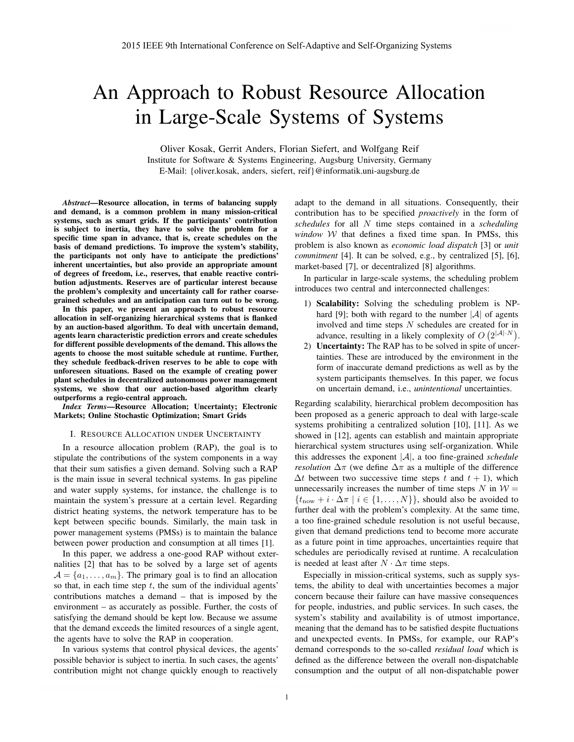# An Approach to Robust Resource Allocation in Large-Scale Systems of Systems

Oliver Kosak, Gerrit Anders, Florian Siefert, and Wolfgang Reif Institute for Software & Systems Engineering, Augsburg University, Germany E-Mail: {oliver.kosak, anders, siefert, reif}@informatik.uni-augsburg.de

*Abstract*—Resource allocation, in terms of balancing supply and demand, is a common problem in many mission-critical systems, such as smart grids. If the participants' contribution is subject to inertia, they have to solve the problem for a specific time span in advance, that is, create schedules on the basis of demand predictions. To improve the system's stability, the participants not only have to anticipate the predictions' inherent uncertainties, but also provide an appropriate amount of degrees of freedom, i.e., reserves, that enable reactive contribution adjustments. Reserves are of particular interest because the problem's complexity and uncertainty call for rather coarsegrained schedules and an anticipation can turn out to be wrong.

In this paper, we present an approach to robust resource allocation in self-organizing hierarchical systems that is flanked by an auction-based algorithm. To deal with uncertain demand, agents learn characteristic prediction errors and create schedules for different possible developments of the demand. This allows the agents to choose the most suitable schedule at runtime. Further, they schedule feedback-driven reserves to be able to cope with unforeseen situations. Based on the example of creating power plant schedules in decentralized autonomous power management systems, we show that our auction-based algorithm clearly outperforms a regio-central approach.

*Index Terms*—Resource Allocation; Uncertainty; Electronic Markets; Online Stochastic Optimization; Smart Grids

#### I. RESOURCE ALLOCATION UNDER UNCERTAINTY

In a resource allocation problem (RAP), the goal is to stipulate the contributions of the system components in a way that their sum satisfies a given demand. Solving such a RAP is the main issue in several technical systems. In gas pipeline and water supply systems, for instance, the challenge is to maintain the system's pressure at a certain level. Regarding district heating systems, the network temperature has to be kept between specific bounds. Similarly, the main task in power management systems (PMSs) is to maintain the balance between power production and consumption at all times [1].

In this paper, we address a one-good RAP without externalities [2] that has to be solved by a large set of agents  $A = \{a_1, \ldots, a_m\}$ . The primary goal is to find an allocation so that, in each time step  $t$ , the sum of the individual agents' contributions matches a demand – that is imposed by the environment – as accurately as possible. Further, the costs of satisfying the demand should be kept low. Because we assume that the demand exceeds the limited resources of a single agent, the agents have to solve the RAP in cooperation.

In various systems that control physical devices, the agents' possible behavior is subject to inertia. In such cases, the agents' contribution might not change quickly enough to reactively

adapt to the demand in all situations. Consequently, their contribution has to be specified *proactively* in the form of *schedules* for all <sup>N</sup> time steps contained in <sup>a</sup> *scheduling window* W that defines a fixed time span. In PMSs, this problem is also known as *economic load dispatch* [3] or *unit commitment* [4]. It can be solved, e.g., by centralized [5], [6], market-based [7], or decentralized [8] algorithms.

In particular in large-scale systems, the scheduling problem introduces two central and interconnected challenges:

- 1) Scalability: Solving the scheduling problem is NPhard [9]; both with regard to the number  $|\mathcal{A}|$  of agents involved and time steps N schedules are created for in advance, resulting in a likely complexity of  $O(2^{|A| \cdot N})$ .<br>**Uncertainty:** The RAP has to be solved in spite of uncer-
- 2) Uncertainty: The RAP has to be solved in spite of uncertainties. These are introduced by the environment in the form of inaccurate demand predictions as well as by the system participants themselves. In this paper, we focus on uncertain demand, i.e., *unintentional* uncertainties.

Regarding scalability, hierarchical problem decomposition has been proposed as a generic approach to deal with large-scale systems prohibiting a centralized solution [10], [11]. As we showed in [12], agents can establish and maintain appropriate hierarchical system structures using self-organization. While this addresses the exponent  $|\mathcal{A}|$ , a too fine-grained *schedule resolution*  $\Delta \pi$  (we define  $\Delta \pi$  as a multiple of the difference  $\Delta t$  between two successive time steps t and  $t + 1$ ), which unnecessarily increases the number of time steps  $N$  in  $W =$  $\{t_{\text{now}} + i \cdot \Delta \pi \mid i \in \{1, ..., N\}\}\$ , should also be avoided to further deal with the problem's complexity. At the same time, a too fine-grained schedule resolution is not useful because, given that demand predictions tend to become more accurate as a future point in time approaches, uncertainties require that schedules are periodically revised at runtime. A recalculation is needed at least after  $N \cdot \Delta \pi$  time steps.

Especially in mission-critical systems, such as supply systems, the ability to deal with uncertainties becomes a major concern because their failure can have massive consequences for people, industries, and public services. In such cases, the system's stability and availability is of utmost importance, meaning that the demand has to be satisfied despite fluctuations and unexpected events. In PMSs, for example, our RAP's demand corresponds to the so-called *residual load* which is defined as the difference between the overall non-dispatchable consumption and the output of all non-dispatchable power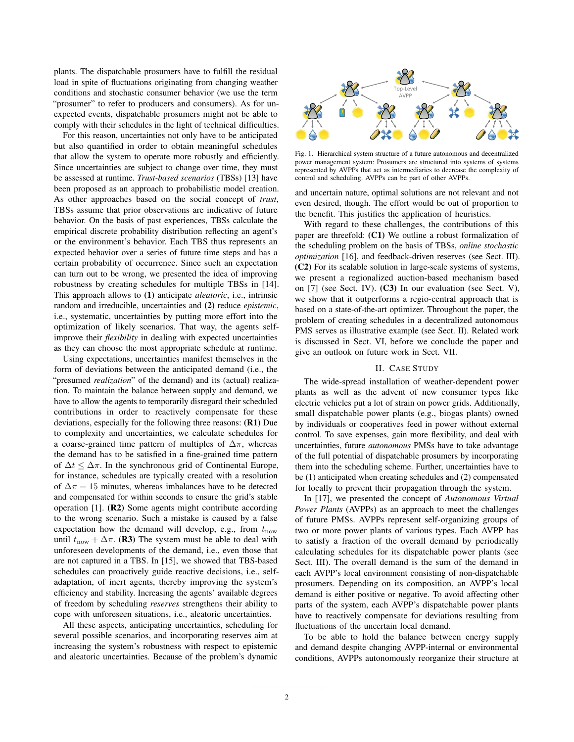plants. The dispatchable prosumers have to fulfill the residual load in spite of fluctuations originating from changing weather conditions and stochastic consumer behavior (we use the term "prosumer" to refer to producers and consumers). As for unexpected events, dispatchable prosumers might not be able to comply with their schedules in the light of technical difficulties.

For this reason, uncertainties not only have to be anticipated but also quantified in order to obtain meaningful schedules that allow the system to operate more robustly and efficiently. Since uncertainties are subject to change over time, they must be assessed at runtime. *Trust-based scenarios* (TBSs) [13] have been proposed as an approach to probabilistic model creation. As other approaches based on the social concept of *trust*, TBSs assume that prior observations are indicative of future behavior. On the basis of past experiences, TBSs calculate the empirical discrete probability distribution reflecting an agent's or the environment's behavior. Each TBS thus represents an expected behavior over a series of future time steps and has a certain probability of occurrence. Since such an expectation can turn out to be wrong, we presented the idea of improving robustness by creating schedules for multiple TBSs in [14]. This approach allows to (1) anticipate *aleatoric*, i.e., intrinsic random and irreducible, uncertainties and (2) reduce *epistemic*, i.e., systematic, uncertainties by putting more effort into the optimization of likely scenarios. That way, the agents selfimprove their *flexibility* in dealing with expected uncertainties as they can choose the most appropriate schedule at runtime.

Using expectations, uncertainties manifest themselves in the form of deviations between the anticipated demand (i.e., the "presumed *realization*" of the demand) and its (actual) realization. To maintain the balance between supply and demand, we have to allow the agents to temporarily disregard their scheduled contributions in order to reactively compensate for these deviations, especially for the following three reasons: (R1) Due to complexity and uncertainties, we calculate schedules for a coarse-grained time pattern of multiples of  $\Delta \pi$ , whereas the demand has to be satisfied in a fine-grained time pattern of  $\Delta t \leq \Delta \pi$ . In the synchronous grid of Continental Europe, for instance, schedules are typically created with a resolution of  $\Delta \pi = 15$  minutes, whereas imbalances have to be detected and compensated for within seconds to ensure the grid's stable operation [1]. (R2) Some agents might contribute according to the wrong scenario. Such a mistake is caused by a false expectation how the demand will develop, e.g., from  $t_{\text{now}}$ until  $t_{\text{now}} + \Delta \pi$ . (R3) The system must be able to deal with unforeseen developments of the demand, i.e., even those that are not captured in a TBS. In [15], we showed that TBS-based schedules can proactively guide reactive decisions, i.e., selfadaptation, of inert agents, thereby improving the system's efficiency and stability. Increasing the agents' available degrees of freedom by scheduling *reserves* strengthens their ability to cope with unforeseen situations, i.e., aleatoric uncertainties.

All these aspects, anticipating uncertainties, scheduling for several possible scenarios, and incorporating reserves aim at increasing the system's robustness with respect to epistemic and aleatoric uncertainties. Because of the problem's dynamic



Fig. 1. Hierarchical system structure of a future autonomous and decentralized power management system: Prosumers are structured into systems of systems represented by AVPPs that act as intermediaries to decrease the complexity of control and scheduling. AVPPs can be part of other AVPPs.

and uncertain nature, optimal solutions are not relevant and not even desired, though. The effort would be out of proportion to the benefit. This justifies the application of heuristics.

With regard to these challenges, the contributions of this paper are threefold: (C1) We outline a robust formalization of the scheduling problem on the basis of TBSs, *online stochastic optimization* [16], and feedback-driven reserves (see Sect. III). (C2) For its scalable solution in large-scale systems of systems, we present a regionalized auction-based mechanism based on [7] (see Sect. IV). (C3) In our evaluation (see Sect. V), we show that it outperforms a regio-central approach that is based on a state-of-the-art optimizer. Throughout the paper, the problem of creating schedules in a decentralized autonomous PMS serves as illustrative example (see Sect. II). Related work is discussed in Sect. VI, before we conclude the paper and give an outlook on future work in Sect. VII.

### II. CASE STUDY

The wide-spread installation of weather-dependent power plants as well as the advent of new consumer types like electric vehicles put a lot of strain on power grids. Additionally, small dispatchable power plants (e.g., biogas plants) owned by individuals or cooperatives feed in power without external control. To save expenses, gain more flexibility, and deal with uncertainties, future *autonomous* PMSs have to take advantage of the full potential of dispatchable prosumers by incorporating them into the scheduling scheme. Further, uncertainties have to be (1) anticipated when creating schedules and (2) compensated for locally to prevent their propagation through the system.

In [17], we presented the concept of *Autonomous Virtual Power Plants* (AVPPs) as an approach to meet the challenges of future PMSs. AVPPs represent self-organizing groups of two or more power plants of various types. Each AVPP has to satisfy a fraction of the overall demand by periodically calculating schedules for its dispatchable power plants (see Sect. III). The overall demand is the sum of the demand in each AVPP's local environment consisting of non-dispatchable prosumers. Depending on its composition, an AVPP's local demand is either positive or negative. To avoid affecting other parts of the system, each AVPP's dispatchable power plants have to reactively compensate for deviations resulting from fluctuations of the uncertain local demand.

To be able to hold the balance between energy supply and demand despite changing AVPP-internal or environmental conditions, AVPPs autonomously reorganize their structure at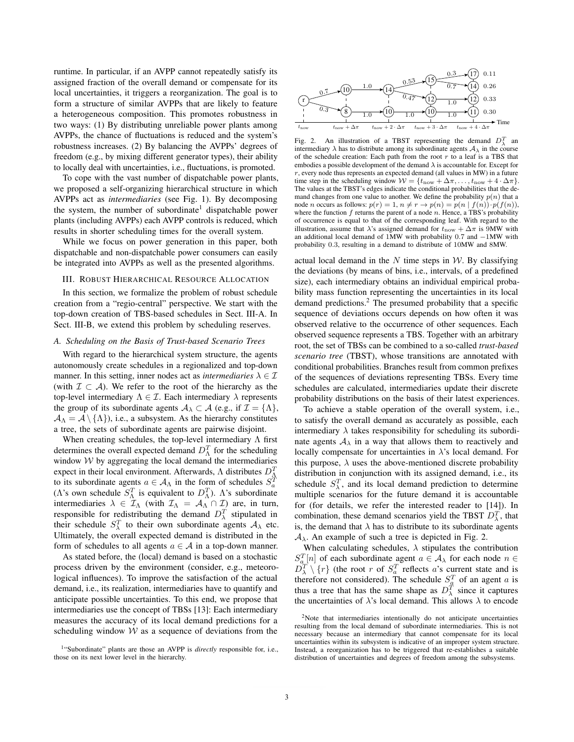runtime. In particular, if an AVPP cannot repeatedly satisfy its assigned fraction of the overall demand or compensate for its local uncertainties, it triggers a reorganization. The goal is to form a structure of similar AVPPs that are likely to feature a heterogeneous composition. This promotes robustness in two ways: (1) By distributing unreliable power plants among AVPPs, the chance of fluctuations is reduced and the system's robustness increases. (2) By balancing the AVPPs' degrees of freedom (e.g., by mixing different generator types), their ability to locally deal with uncertainties, i.e., fluctuations, is promoted.

To cope with the vast number of dispatchable power plants, we proposed a self-organizing hierarchical structure in which AVPPs act as *intermediaries* (see Fig. 1). By decomposing the system, the number of subordinate<sup>1</sup> dispatchable power plants (including AVPPs) each AVPP controls is reduced, which results in shorter scheduling times for the overall system.

While we focus on power generation in this paper, both dispatchable and non-dispatchable power consumers can easily be integrated into AVPPs as well as the presented algorithms.

#### III. ROBUST HIERARCHICAL RESOURCE ALLOCATION

In this section, we formalize the problem of robust schedule creation from a "regio-central" perspective. We start with the top-down creation of TBS-based schedules in Sect. III-A. In Sect. III-B, we extend this problem by scheduling reserves.

## *A. Scheduling on the Basis of Trust-based Scenario Trees*

With regard to the hierarchical system structure, the agents autonomously create schedules in a regionalized and top-down manner. In this setting, inner nodes act as *intermediaries*  $\lambda \in \mathcal{I}$ (with  $\mathcal{I} \subset \mathcal{A}$ ). We refer to the root of the hierarchy as the top-level intermediary  $Λ ∈ I$ . Each intermediary  $λ$  represents the group of its subordinate agents  $A_{\lambda} \subset A$  (e.g., if  $\mathcal{I} = {\Lambda}$ ),  $A_{\Lambda} = A \setminus \{\Lambda\}$ , i.e., a subsystem. As the hierarchy constitutes a tree, the sets of subordinate agents are pairwise disjoint.

When creating schedules, the top-level intermediary  $\Lambda$  first determines the overall expected demand  $D_{\Lambda}^{T}$  for the scheduling<br>window *W* by aggregating the local demand the intermediaties window  $W$  by aggregating the local demand the intermediaries expect in their local environment. Afterwards, Λ distributes  $D_{\Lambda}^{T}$ <br>to its subordinate agents  $q \in \Lambda$ , in the form of schedules  $S^{T}$ to its subordinate agents  $a \in A_{\Lambda}$  in the form of schedules  $S_a^T$ <br>(A's own schedule  $S^T$  is equivalent to  $D^T$ ). A's subordinate ( $\Lambda$ 's own schedule  $S_{\Lambda}^T$  is equivalent to  $D_{\Lambda}^T$ ).  $\Lambda$ 's subordinate<br>intermediaries  $\lambda \in \mathcal{T}$ , (with  $\mathcal{T}_{\Lambda} = A_{\Lambda} \cap \mathcal{T}$ ) are in turn intermediaries  $\lambda \in \mathcal{I}_{\Lambda}$  (with  $\mathcal{I}_{\Lambda} = \mathcal{A}_{\Lambda} \cap \mathcal{I}$ ) are, in turn,<br>responsible for redistributing the demand  $D^{T}$  stipulated in responsible for redistributing the demand  $D_{\lambda}^{T}$  stipulated in<br>their schedule  $S^{T}$  to their own subordinate agents  $A_{\lambda}$  etc. their schedule  $S_{\lambda}^{T}$  to their own subordinate agents  $A_{\lambda}$  etc.<br>Ultimately the overall expected demand is distributed in the Ultimately, the overall expected demand is distributed in the form of schedules to all agents  $a \in A$  in a top-down manner.

As stated before, the (local) demand is based on a stochastic process driven by the environment (consider, e.g., meteorological influences). To improve the satisfaction of the actual demand, i.e., its realization, intermediaries have to quantify and anticipate possible uncertainties. To this end, we propose that intermediaries use the concept of TBSs [13]: Each intermediary measures the accuracy of its local demand predictions for a scheduling window  $W$  as a sequence of deviations from the



Fig. 2. An illustration of a TBST representing the demand  $D_3^T$  and intermediary  $\lambda$  has to distribute among its subordinate agents  $A_{\lambda}$  in the course of the schedule creation: Each path from the root  $r$  to a leaf is a TBS that embodies a possible development of the demand  $\lambda$  is accountable for. Except for r, every node thus represents an expected demand (all values in MW) in a future time step in the scheduling window  $W = \{t_{\text{now}} + \Delta \pi, \dots, t_{\text{now}} + 4 \cdot \Delta \pi\}.$ The values at the TBST's edges indicate the conditional probabilities that the demand changes from one value to another. We define the probability  $p(n)$  that a node *n* occurs as follows:  $p(r) = 1$ ,  $n \neq r \rightarrow p(n) = p(n | f(n)) \cdot p(f(n))$ , where the function  $f$  returns the parent of a node  $n$ . Hence, a TBS's probability of occurrence is equal to that of the corresponding leaf. With regard to the illustration, assume that  $\lambda$ 's assigned demand for  $t_{\text{now}} + \Delta \pi$  is 9MW with an additional local demand of 1MW with probability 0.7 and −1MW with probability 0.3, resulting in a demand to distribute of 10MW and 8MW.

actual local demand in the  $N$  time steps in  $W$ . By classifying the deviations (by means of bins, i.e., intervals, of a predefined size), each intermediary obtains an individual empirical probability mass function representing the uncertainties in its local demand predictions. <sup>2</sup> The presumed probability that a specific sequence of deviations occurs depends on how often it was observed relative to the occurrence of other sequences. Each observed sequence represents a TBS. Together with an arbitrary root, the set of TBSs can be combined to a so-called *trust-based scenario tree* (TBST), whose transitions are annotated with conditional probabilities. Branches result from common prefixes of the sequences of deviations representing TBSs. Every time schedules are calculated, intermediaries update their discrete probability distributions on the basis of their latest experiences.

To achieve a stable operation of the overall system, i.e., to satisfy the overall demand as accurately as possible, each intermediary  $\lambda$  takes responsibility for scheduling its subordinate agents  $A_{\lambda}$  in a way that allows them to reactively and locally compensate for uncertainties in  $\lambda$ 's local demand. For this purpose,  $\lambda$  uses the above-mentioned discrete probability distribution in conjunction with its assigned demand, i.e., its schedule  $S_{\lambda}^{T}$ , and its local demand prediction to determine<br>multiple scenarios for the future demand it is accountable multiple scenarios for the future demand it is accountable for (for details, we refer the interested reader to [14]). In combination, these demand scenarios yield the TBST  $D_{\lambda}^{T}$ , that is the demand that  $\lambda$  has to distribute to its subordinate agents is, the demand that  $\lambda$  has to distribute to its subordinate agents  $A_{\lambda}$ . An example of such a tree is depicted in Fig. 2.

When calculating schedules,  $\lambda$  stipulates the contribution  $D_X^T \setminus \{r\}$  (the root r of  $S_d^T$  reflects a's current state and is<br>therefore not considered). The schedule  $S_T^T$  of an agent a is  $T[T][n]$  of each subordinate agent  $a \in A_\lambda$  for each node  $n \in T^T \setminus \{r\}$  (the root r of  $S^T$  reflects a's current state and is therefore not considered). The schedule  $S_a^T$  of an agent a is<br>thus a tree that has the same shape as  $D^T$  since it cantures thus a tree that has the same shape as  $D_{\lambda}^{T}$  since it captures<br>the uncertainties of  $\lambda$ 's local demand. This allows  $\lambda$  to encode the uncertainties of  $\lambda$ 's local demand. This allows  $\lambda$  to encode

<sup>1</sup>"Subordinate" plants are those an AVPP is *directly* responsible for, i.e., those on its next lower level in the hierarchy.

<sup>2</sup>Note that intermediaries intentionally do not anticipate uncertainties resulting from the local demand of subordinate intermediaries. This is not necessary because an intermediary that cannot compensate for its local uncertainties within its subsystem is indicative of an improper system structure. Instead, a reorganization has to be triggered that re-establishes a suitable distribution of uncertainties and degrees of freedom among the subsystems.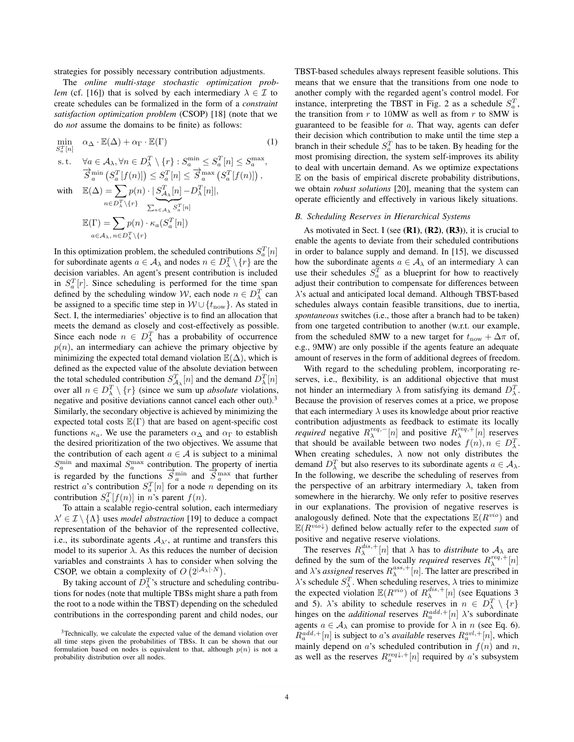strategies for possibly necessary contribution adjustments.

The *online multi-stage stochastic optimization problem* (cf. [16]) that is solved by each intermediary  $\lambda \in \mathcal{I}$  to create schedules can be formalized in the form of a *constraint satisfaction optimization problem* (CSOP) [18] (note that we do *not* assume the domains to be finite) as follows:

$$
\min_{S_a^T[n]} \alpha_{\Delta} \cdot \mathbb{E}(\Delta) + \alpha_{\Gamma} \cdot \mathbb{E}(\Gamma) \tag{1}
$$
\n
$$
\text{s.t.} \quad \forall a \in A_{\lambda}, \forall n \in D_{\lambda}^T \setminus \{r\} : S_a^{\min} \le S_a^T[n] \le S_a^{\max},
$$
\n
$$
\overrightarrow{S}_a^{\min} (S_a^T[f(n)]) \le S_a^T[n] \le \overrightarrow{S}_a^{\max} (S_a^T[f(n)]),
$$
\n
$$
\text{with} \quad \mathbb{E}(\Delta) = \sum_{n \in D_{\lambda}^T \setminus \{r\}} p(n) \cdot |\underbrace{S_{\mathcal{A}_{\lambda}}^T[n]}_{\sum_{a \in \mathcal{A}_{\lambda}} S_a^T[n]} - D_{\lambda}^T[n]|,
$$
\n
$$
\mathbb{E}(\Gamma) = \sum_{a \in \mathcal{A}_{\lambda}, n \in D_{\lambda}^T \setminus \{r\}}
$$

In this optimization problem, the scheduled contributions  $S_a^T[n]$ <br>for subordinate agents  $a \in A_2$  and nodes  $n \in D^T \setminus \{x\}$  are the for subordinate agents  $a \in A_{\lambda}$  and nodes  $n \in D_{\lambda}^{T} \setminus \{r\}$  are the decision variables. An agent's present contribution is included decision variables. An agent's present contribution is included in  $S_a^T[r]$ . Since scheduling is performed for the time span<br>defined by the scheduling window W each node  $n \in D^T$  can defined by the scheduling window W, each node  $n \in D_{\lambda}^{T}$  can<br>be assigned to a specific time step in  $\mathcal{W}^{1+1}$  +  $\lambda$  as stated in be assigned to a specific time step in  $W \cup \{t_{\text{now}}\}$ . As stated in Sect. I, the intermediaries' objective is to find an allocation that meets the demand as closely and cost-effectively as possible. Since each node  $n \in D_{\lambda}^{T}$  has a probability of occurrence  $p(n)$  an intermediary can achieve the primary objective by  $p(n)$ , an intermediary can achieve the primary objective by minimizing the expected total demand violation  $\mathbb{E}(\Delta)$ , which is defined as the expected value of the absolute deviation between the total scheduled contribution  $S_{\mathcal{A}_{\lambda}}^{T}[n]$  and the demand  $D_{\lambda}^{T}[n]$ <br>over all  $n \in D^{T} \setminus \{x\}$  (since we sum up absolute violations) over all  $n \in D_{\lambda}^{T} \setminus \{r\}$  (since we sum up *absolute* violations,<br>negative and positive deviations cannot cancel each other out)<sup>3</sup> negative and positive deviations cannot cancel each other out).<sup>3</sup> Similarly, the secondary objective is achieved by minimizing the expected total costs  $\mathbb{E}(\Gamma)$  that are based on agent-specific cost functions  $\kappa_a$ . We use the parameters  $\alpha_{\Delta}$  and  $\alpha_{\Gamma}$  to establish the desired prioritization of the two objectives. We assume that the contribution of each agent  $a \in A$  is subject to a minimal  $\sum_{a}$  and maximal  $\sum_{a}$  contracts min and maximal  $S_a^{\text{max}}$  contribution. The property of inertia .<br>fr  $\frac{P}{a}$  and  $\overrightarrow{S}$  $\frac{1}{2}$  $\sum_{a}^{\text{max}}$  that further restrict *a*'s contribution  $S_a^T[n]$  for a node *n* depending on its contribution  $S_f^T[f(n)]$  in *n*'s parent  $f(n)$ contribution  $S_a^T[f(n)]$  in *n*'s parent  $f(n)$ .<br>To attain a scalable regio-central solution

To attain a scalable regio-central solution, each intermediary representation of the behavior of the represented collective,  $\lambda' \in \mathcal{I} \setminus \{\Lambda\}$  uses *model abstraction* [19] to deduce a compact i.e., its subordinate agents  $A_{\lambda'}$ , at runtime and transfers this model to its superior  $\lambda$ . As this reduces the number of decision variables and constraints  $\lambda$  has to consider when solving the CSOP, we obtain a complexity of  $O(2^{|A_{\lambda}| \cdot N})$ .<br>By taking account of  $D^{T}$ 's structure and sched

By taking account of  $D_{\lambda}^{T}$ 's structure and scheduling contribu-<br>ns for podes (note that multiple TBSs might share a path from tions for nodes (note that multiple TBSs might share a path from the root to a node within the TBST) depending on the scheduled contributions in the corresponding parent and child nodes, our TBST-based schedules always represent feasible solutions. This means that we ensure that the transitions from one node to another comply with the regarded agent's control model. For instance, interpreting the TBST in Fig. 2 as a schedule  $S_a^T$ , the transition from r to 10MW as well as from r to 8MW is the transition from  $r$  to 10MW as well as from  $r$  to 8MW is guaranteed to be feasible for a. That way, agents can defer their decision which contribution to make until the time step a branch in their schedule  $S_a^T$  has to be taken. By heading for the most promising direction, the system self-improves its ability most promising direction, the system self-improves its ability to deal with uncertain demand. As we optimize expectations  $E$  on the basis of empirical discrete probability distributions, we obtain *robust solutions* [20], meaning that the system can operate efficiently and effectively in various likely situations.

## *B. Scheduling Reserves in Hierarchical Systems*

As motivated in Sect. I (see  $(R1)$ ,  $(R2)$ ,  $(R3)$ ), it is crucial to enable the agents to deviate from their scheduled contributions in order to balance supply and demand. In [15], we discussed how the subordinate agents  $a \in A_{\lambda}$  of an intermediary  $\lambda$  can use their schedules  $S_d^T$  as a blueprint for how to reactively adjust their contribution to compensate for differences between adjust their contribution to compensate for differences between  $\lambda$ 's actual and anticipated local demand. Although TBST-based schedules always contain feasible transitions, due to inertia, *spontaneous* switches (i.e., those after a branch had to be taken) from one targeted contribution to another (w.r.t. our example, from the scheduled 8MW to a new target for  $t_{\text{now}} + \Delta \pi$  of, e.g., 9MW) are only possible if the agents feature an adequate amount of reserves in the form of additional degrees of freedom.

With regard to the scheduling problem, incorporating reserves, i.e., flexibility, is an additional objective that must not hinder an intermediary  $\lambda$  from satisfying its demand  $D_{\lambda}^{T}$ .<br>Because the provision of reserves comes at a price, we propose Because the provision of reserves comes at a price, we propose that each intermediary  $\lambda$  uses its knowledge about prior reactive contribution adjustments as feedback to estimate its locally *required* negative  $R_{\lambda}^{req,-}[n]$  and positive  $R_{\lambda}^{req,+}[n]$  reserves<br>that should be available between two nodes  $f(n), n \in \mathbb{D}^{T}$ that should be available between two nodes  $f(n), n \in D_{\lambda}^{T}$ .<br>When creating schedules  $\lambda$  now not only distributes the When creating schedules,  $\lambda$  now not only distributes the demand  $D_{\lambda}^{T}$  but also reserves to its subordinate agents  $a \in A_{\lambda}$ .<br>In the following, we describe the scheduling of reserves from In the following, we describe the scheduling of reserves from the perspective of an arbitrary intermediary  $\lambda$ , taken from somewhere in the hierarchy. We only refer to positive reserves in our explanations. The provision of negative reserves is analogously defined. Note that the expectations  $\mathbb{E}(R^{vio})$  and  $\mathbb{E}(R^{vio})$  defined below actually refer to the expected sum of  $\mathbb{E}(R^{vi\circ\downarrow})$  defined below actually refer to the expected *sum* of positive and pequive reserve violations positive and negative reserve violations.

The reserves  $R_{\lambda}^{dis,+}[n]$  that  $\lambda$  has to *distribute* to  $A_{\lambda}$  are fined by the sum of the locally *required* reserves  $R^{req,+}[n]$ defined by the sum of the locally *required* reserves  $R_{\lambda}^{req, +}[n]$ <br>and  $\lambda$ 's *assigned* reserves  $R^{ass,+}[n]$ . The latter are prescribed in and  $\lambda$ 's *assigned* reserves  $R_{\lambda}^{ass,+}[n]$ . The latter are prescribed in  $\lambda$ 's schedule  $S^T$ . When scheduling reserves  $\lambda$  tries to minimize  $\lambda$ 's schedule  $S_{\lambda}^{T}$ . When scheduling reserves,  $\lambda$  tries to minimize<br>the expected violation  $\mathbb{F}(P^{vio})$  of  $P^{dis,+}[m]$  (see Fourtions 3) the expected violation  $\mathbb{E}(R^{vio})$  of  $R^{dis,+}_{\lambda}[n]$  (see Equations 3<br>and 5)  $\lambda$ 's ability to schedule reserves in  $n \in D^{T} \setminus \{r\}$ and 5).  $\lambda$ 's ability to schedule reserves in  $n \in D_{\lambda}^{T} \setminus \{r\}$ <br>hinges on the *additional* reserves  $B^{add, +}[n]$   $\lambda$ 's subordinate hinges on the *additional* reserves  $R_a^{add, +}[n]$  λ's subordinate agents  $a \in A_\lambda$  can promise to provide for  $\lambda$  in n (see Eq. 6).  $R_a^{add,+}[n]$  is subject to a's *available* reserves  $R_a^{avl,+}[n]$ , which mainly depend on a's scheduled contribution in  $f(n)$  and n mainly depend on a's scheduled contribution in  $f(n)$  and n, as well as the reserves  $R_a^{req\downarrow, +}[n]$  required by a's subsystem

<sup>&</sup>lt;sup>3</sup>Technically, we calculate the expected value of the demand violation over all time steps given the probabilities of TBSs. It can be shown that our formulation based on nodes is equivalent to that, although  $p(n)$  is not a probability distribution over all nodes.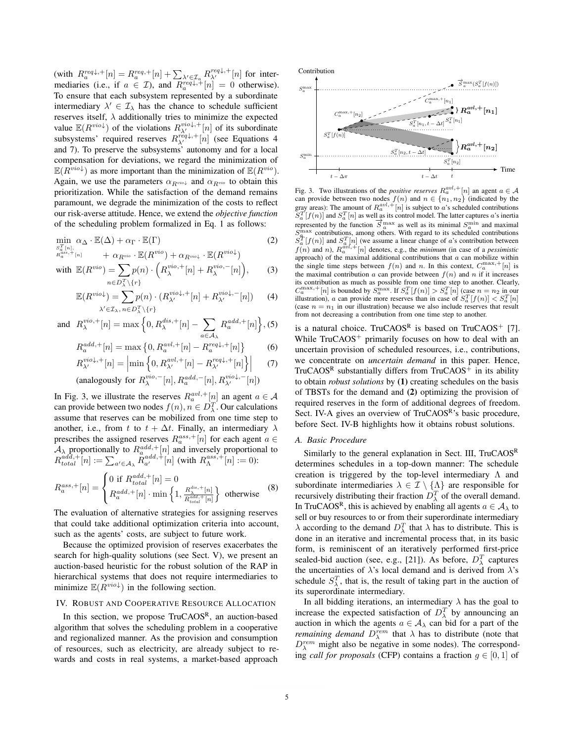(with  $R_a^{req\downarrow, +}[n] = R_a^{req, +}[n] + \sum_{\lambda' \in \mathcal{I}_a} R_a$ <br>mediation (i.e., if  $a \in \mathcal{I}_a$ ) and  $R_a^{req\downarrow, +}[n]$  $r_{\lambda'}^{req\downarrow,+}[n]$  for inter-<br> $r_{\lambda'}^{1} = 0$  otherwise) mediaries (i.e., if  $a \in \mathcal{I}$ ), and  $R_a^{req} \downarrow^4 [\hat{n}] = 0$  otherwise).<br>To ensure that each subsystem represented by a subordinate To ensure that each subsystem represented by a subordinate intermediary  $\lambda' \in \mathcal{I}_{\lambda}$  has the chance to schedule sufficient<br>reserves itself  $\lambda$  additionally tries to minimize the expected reserves itself,  $\lambda$  additionally tries to minimize the expected<br>value  $\mathbb{F}(B^{vi_0}\downarrow)$  of the violations  $B^{vi_0}\downarrow + [n]$  of its subordinate value  $\mathbb{E}(R^{vi_0}\downarrow)$  of the violations  $R^{vi_0}\downarrow + [n]$  of its subordinate subsystems' required reserves  $R_{\lambda'}^{req}$ , +  $[n]$  (see Equations 4 and 7). To preserve the subsystems' autonomy and for a local compensation for deviations, we regard the minimization of  $\mathbb{E}(R^{vio}\cdot)$  as more important than the minimization of  $\mathbb{E}(R^{vio})$ . Again, we use the parameters  $\alpha_{R^{vio}}$  and  $\alpha_{R^{vio}}$  to obtain this prioritization. While the satisfaction of the demand remains paramount, we degrade the minimization of the costs to reflect our risk-averse attitude. Hence, we extend the *objective function* of the scheduling problem formalized in Eq. 1 as follows:

$$
\min_{\substack{S_a^T[n],\\R_a^{ass,+}[n]}} \alpha_{\Delta} \cdot \mathbb{E}(\Delta) + \alpha_{\Gamma} \cdot \mathbb{E}(\Gamma) \tag{2}
$$
\n
$$
\alpha_{\alpha}^{ass,+}[n] \quad + \alpha_{R^{vio}} \cdot \mathbb{E}(R^{vio}) + \alpha_{R^{vio}} \cdot \mathbb{E}(R^{vio})
$$

with 
$$
\mathbb{E}(R^{vio}) = \sum_{n \in D_{\lambda}^{T} \setminus \{r\}} p(n) \cdot \left(R_{\lambda}^{vio,+}[n] + R_{\lambda}^{vio,-}[n]\right), \quad (3)
$$

$$
\mathbb{E}(R^{vio\downarrow}) = \sum_{\lambda' \in \mathcal{I}_{\lambda}, n \in D_{\lambda}^T \setminus \{r\}} p(n) \cdot (R_{\lambda'}^{vio\downarrow, +}[n] + R_{\lambda'}^{vio\downarrow, -}[n]) \tag{4}
$$

$$
\text{and}\ \ R^{vio,+}_{\lambda}[n]=\max\Big\{0,R^{dis,+}_{\lambda}[n]-\sum_{a\in\mathcal{A}_\lambda}R^{add,+}_a[n]\Big\},(5)
$$

$$
R_a^{add,+}[n] = \max\left\{0, R_a^{avl,+}[n] - R_a^{req\downarrow,+}[n]\right\} \tag{6}
$$

$$
R_{\lambda'}^{vio\downarrow,+}[n] = \left| \min\left\{0, R_{\lambda'}^{avl,+}[n] - R_{\lambda'}^{req\downarrow,+}[n] \right\} \right| \tag{7}
$$
\n
$$
\text{(analytic for } R^{vio,-}[n] \quad R^{add,-}[n] \quad R^{vio\downarrow,-}[n] \tag{7}
$$

(analogously for 
$$
R_{\lambda}^{vo,-}[n], R_a^{add,-}[n], R_{\lambda'}^{vo\downarrow,-}[n]
$$
)

In Fig. 3, we illustrate the reserves  $R_a^{avl,+}[n]$  an agent  $a \in \mathcal{A}$ <br>can provide between two nodes  $f(n)$ ,  $n \in \mathbb{D}^T$ . Our calculations can provide between two nodes  $f(n), n \in D_{\lambda}^{T}$ . Our calculations assume that reserves can be mobilized from one time step to assume that reserves can be mobilized from one time step to another, i.e., from t to  $t + \Delta t$ . Finally, an intermediary  $\lambda$ prescribes the assigned reserves  $R_a^{ass,+}$ <br>A proportionally to  $R^{add,+}[n]$  and in [*n*] for each agent  $a \in$  $\mathcal{A}_{\lambda}$  proportionally to  $R_a^{add, +}[n]$  and inversely proportional to  $R_a^{add, +}[n] \leftarrow \sum_{R_a^{add, +}[n]} R_a^{add, +}[n] \leftarrow 0$ R  $\begin{bmatrix} a_{\text{add},+} \\ \text{add},+[n] \end{bmatrix} := \sum_{a' \in \mathcal{A}_{\lambda}} R$  $a_d^{add,+}[n]$  (with  $R_{\Lambda}^{ass,+}[n] := 0$ ):

$$
R_a^{ass,+}[n] = \begin{cases} 0 \text{ if } R_{total}^{add,+}[n] = 0\\ R_a^{add,+}[n] \cdot \min\left\{1, \frac{R_{\lambda}^{dis,+}[n]}{R_{total}^{add,+}[n]}\right\} \text{ otherwise} \end{cases}
$$
(8)

The evaluation of alternative strategies for assigning reserves that could take additional optimization criteria into account, such as the agents' costs, are subject to future work.

Because the optimized provision of reserves exacerbates the search for high-quality solutions (see Sect. V), we present an auction-based heuristic for the robust solution of the RAP in hierarchical systems that does not require intermediaries to minimize  $\mathbb{E}(R^{vio\downarrow})$  in the following section.

# IV. ROBUST AND COOPERATIVE RESOURCE ALLOCATION

In this section, we propose TruCAOS<sup>R</sup>, an auction-based algorithm that solves the scheduling problem in a cooperative and regionalized manner. As the provision and consumption of resources, such as electricity, are already subject to rewards and costs in real systems, a market-based approach



Fig. 3. Two illustrations of the *positive reserves*  $R_a^{avl,+}[n]$  an agent  $a \in \mathcal{A}$ can provide between two nodes  $f(n)$  and  $n \in \{n_1, n_2\}$  (indicated by the gray areas): The amount of  $R_a^{avl,+}[n]$  is subject to a's scheduled contributions  $S_a^T[f(n)]$  and  $S_a^T[n]$  as well as its control model. The latter captures a's inertia  $\sum_{a}^{S_a}$  [J(1,7)] and  $\sum_{a}^{S_a}$  as well as its minimal  $S_a^{\text{min}}$  and maximal represented by the function  $\overline{S}_a^{\text{max}}$  as well as its minimal  $S_a^{\text{min}}$  and maximal  $S_{q_{\text{in}}}^{\text{max}}$  contributions, among others. With regard to its scheduled contributions  $S_a^T[f(n)]$  and  $S_a^T[n]$  (we assume a linear change of a's contribution between  $f(n)$  and n),  $R_a^{avl,+}[n]$  denotes, e.g., the *minimum* (in case of a *pessimistic* approach) of the maximal additional contributions that  $a$  can mobilize within the single time steps between  $f(n)$  and n. In this context,  $C_a^{\max,+}[n]$  is the maximal contribution  $a$  can provide between  $f(n)$  and  $n$  if it increases its contribution as much as possible from one time step to another. Clearly,  $C_a^{\max,+}[n]$  is bounded by  $S_a^{\max}$ . If  $S_a^T[f(n)] > S_a^T[n]$  (case  $n = n_2$  in our illustration), a can provide more reserves than in case of  $S_a^T[f(n)] < S_a^T[n]$ (case  $n = n_1$  in our illustration) because we also include reserves that result from not decreasing a contribution from one time step to another.

is a natural choice. TruCAOS<sup>R</sup> is based on TruCAOS<sup>+</sup> [7]. While TruCAOS<sup>+</sup> primarily focuses on how to deal with an uncertain provision of scheduled resources, i.e., contributions, we concentrate on *uncertain demand* in this paper. Hence, TruCAOSR substantially differs from TruCAOS<sup>+</sup> in its ability to obtain *robust solutions* by (1) creating schedules on the basis of TBSTs for the demand and (2) optimizing the provision of required reserves in the form of additional degrees of freedom. Sect. IV-A gives an overview of TruCAOSR's basic procedure, before Sect. IV-B highlights how it obtains robust solutions.

## *A. Basic Procedure*

Similarly to the general explanation in Sect. III, TruCAOSR determines schedules in a top-down manner: The schedule creation is triggered by the top-level intermediary  $\Lambda$  and subordinate intermediaries  $\lambda \in \mathcal{I} \setminus \{\Lambda\}$  are responsible for recursively distributing their fraction  $D_{\lambda}^{T}$  of the overall demand.<br>In TruCAOS<sup>R</sup>, this is achieved by enabling all agents  $a \in A$ , to In TruCAOS<sup>R</sup>, this is achieved by enabling all agents  $a \in A_{\lambda}$  to sell or buy resources to or from their superordinate intermediary sell or buy resources to or from their superordinate intermediary λ according to the demand  $D_{\lambda}^{T}$  that λ has to distribute. This is done in an iterative and incremental process that in its basic done in an iterative and incremental process that, in its basic form, is reminiscent of an iteratively performed first-price sealed-bid auction (see, e.g., [21]). As before,  $D_{\lambda}^{T}$  captures<br>the uncertainties of  $\lambda$ 's local demand and is derived from  $\lambda$ 's the uncertainties of  $\lambda$ 's local demand and is derived from  $\lambda$ 's schedule  $S_{\lambda}^{T}$ , that is, the result of taking part in the auction of its supercydinate intermediary its superordinate intermediary.

In all bidding iterations, an intermediary  $\lambda$  has the goal to increase the expected satisfaction of  $D_{\lambda}^{T}$  by announcing an auction in which the agents  $a \in A_{\lambda}$  can bid for a part of the auction in which the agents  $a \in A_\lambda$  can bid for a part of the *remaining demand*  $D_{\lambda}^{rem}$  that  $\lambda$  has to distribute (note that  $D^{rem}$  might also be negative in some nodes). The correspond- $D_{\lambda}^{rem}$  might also be negative in some nodes). The correspond-<br>ing call for proposals (CEP) contains a fraction  $a \in [0, 1]$  of ing *call for proposals* (CFP) contains a fraction  $g \in [0, 1]$  of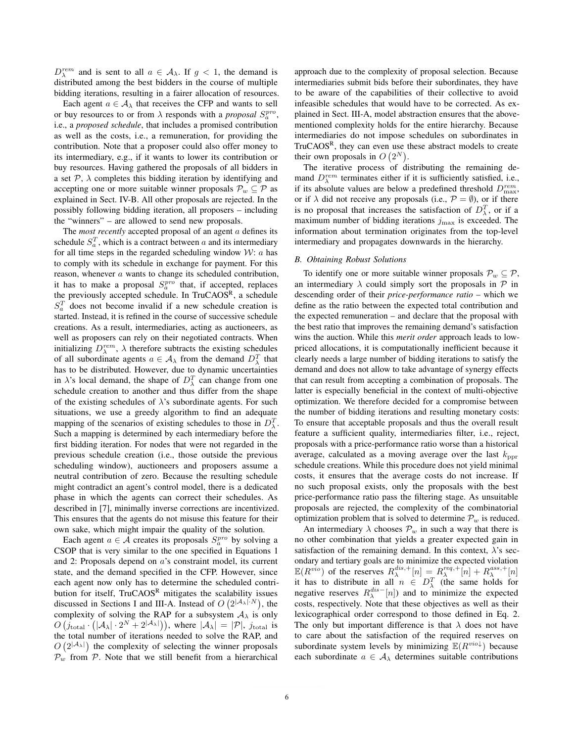$D_{\lambda}^{rem}$  and is sent to all  $a \in A_{\lambda}$ . If  $g < 1$ , the demand is distributed among the best bidders in the course of multiple distributed among the best bidders in the course of multiple bidding iterations, resulting in a fairer allocation of resources.

Each agent  $a \in A_\lambda$  that receives the CFP and wants to sell or buy resources to or from  $\lambda$  responds with a *proposal*  $S_a^{pro}$ , i.e., a *proposed schedule* that includes a promised contribution i.e., a *proposed schedule*, that includes a promised contribution as well as the costs, i.e., a remuneration, for providing the contribution. Note that a proposer could also offer money to its intermediary, e.g., if it wants to lower its contribution or buy resources. Having gathered the proposals of all bidders in a set  $P$ ,  $\lambda$  completes this bidding iteration by identifying and accepting one or more suitable winner proposals  $\mathcal{P}_w \subseteq \mathcal{P}$  as explained in Sect. IV-B. All other proposals are rejected. In the possibly following bidding iteration, all proposers – including the "winners" – are allowed to send new proposals.

The *most recently* accepted proposal of an agent a defines its schedule  $S_a^T$ , which is a contract between a and its intermediary<br>for all time steps in the regarded scheduling window  $W_a$  a has for all time steps in the regarded scheduling window  $W: a$  has to comply with its schedule in exchange for payment. For this reason, whenever <sup>a</sup> wants to change its scheduled contribution, it has to make a proposal  $S_a^{pro}$  that, if accepted, replaces<br>the previously accepted schedule. In  $TruCAOS^R$ , a schedule the previously accepted schedule. In TruCAOS<sup>R</sup>, a schedule started. Instead, it is refined in the course of successive schedule  $\frac{1}{a}$  does not become invalid if a new schedule creation is creations. As a result, intermediaries, acting as auctioneers, as well as proposers can rely on their negotiated contracts. When initializing  $D_{\lambda}^{rem}$ ,  $\lambda$  therefore subtracts the existing schedules<br>of all subordinate agents  $a \in \Lambda$ , from the demand  $D^{T}$  that of all subordinate agents  $a \in A_{\lambda}$  from the demand  $D_{\lambda}^{T}$  that has to be distributed. However, due to dynamic uncertainties has to be distributed. However, due to dynamic uncertainties in  $\lambda$ 's local demand, the shape of  $D_{\lambda}^{T}$  can change from one<br>schedule creation to another and thus differ from the shape schedule creation to another and thus differ from the shape of the existing schedules of  $\lambda$ 's subordinate agents. For such situations, we use a greedy algorithm to find an adequate mapping of the scenarios of existing schedules to those in  $D_{\lambda}^{T}$ .<br>Such a mapping is determined by each intermediary before the Such a mapping is determined by each intermediary before the first bidding iteration. For nodes that were not regarded in the previous schedule creation (i.e., those outside the previous scheduling window), auctioneers and proposers assume a neutral contribution of zero. Because the resulting schedule might contradict an agent's control model, there is a dedicated phase in which the agents can correct their schedules. As described in [7], minimally inverse corrections are incentivized. This ensures that the agents do not misuse this feature for their own sake, which might impair the quality of the solution.

Each agent  $a \in \mathcal{A}$  creates its proposals  $S_a^{pro}$  by solving a cop-CSOP that is very similar to the one specified in Equations 1 and 2: Proposals depend on a's constraint model, its current state, and the demand specified in the CFP. However, since each agent now only has to determine the scheduled contribution for itself, TruCAOSR mitigates the scalability issues discussed in Sections I and III-A. Instead of  $O(2^{|A_{\lambda}| \cdot N})$ , the complexity of solving the RAP for a subsystem  $A_{\lambda}$  is only complexity of solving the RAP for a subsystem  $A_{\lambda}$  is only  $\mathcal{O}(\mathcal{J}\text{total} \cdot |\mathcal{A}\lambda| \cdot 2^{1+\frac{1}{2}|\mathcal{A}\lambda|})$ , where  $|\mathcal{A}\lambda| = |\mathcal{V}|$ ,  $\mathcal{J}\text{total}$  is the total number of iterations needed to solve the RAP, and  $(j_{\text{total}} \cdot (|\mathcal{A}_{\lambda}| \cdot 2^{N} + 2^{|\mathcal{A}_{\lambda}|}))$ , where  $|\mathcal{A}_{\lambda}| = |\mathcal{P}|$ , jtotal is  $\mathcal{P}_w$  from  $\mathcal{P}$ . Note that we still benefit from a hierarchical  $(2^{|A_{\lambda}|})$  the complexity of selecting the winner proposals

approach due to the complexity of proposal selection. Because intermediaries submit bids before their subordinates, they have to be aware of the capabilities of their collective to avoid infeasible schedules that would have to be corrected. As explained in Sect. III-A, model abstraction ensures that the abovementioned complexity holds for the entire hierarchy. Because intermediaries do not impose schedules on subordinates in TruCAOS<sup>R</sup>, they can even use these abstract models to create their own proposals in  $O(2^N)$ .<br>The iterative process of di-

The iterative process of distributing the remaining demand  $D_{\lambda}^{rem}$  terminates either if it is sufficiently satisfied, i.e., if its absolute values are below a predefined threshold  $D^{rem}$ if its absolute values are below a predefined threshold  $D_{\text{max}}^{rem}$ , or if  $\lambda$  did not receive any proposals (i.e.  $\mathcal{D} = \emptyset$ ) or if there or if  $\lambda$  did not receive any proposals (i.e.,  $\mathcal{P} = \emptyset$ ), or if there is no proposal that increases the satisfaction of  $D_{\lambda}^{T}$ , or if a<br>maximum number of bidding iterations is exceeded. The maximum number of bidding iterations  $j_{\text{max}}$  is exceeded. The information about termination originates from the top-level intermediary and propagates downwards in the hierarchy.

## *B. Obtaining Robust Solutions*

To identify one or more suitable winner proposals  $\mathcal{P}_w \subseteq \mathcal{P}$ , an intermediary  $\lambda$  could simply sort the proposals in  $\mathcal P$  in descending order of their *price-performance ratio* – which we define as the ratio between the expected total contribution and the expected remuneration – and declare that the proposal with the best ratio that improves the remaining demand's satisfaction wins the auction. While this *merit order* approach leads to lowpriced allocations, it is computationally inefficient because it clearly needs a large number of bidding iterations to satisfy the demand and does not allow to take advantage of synergy effects that can result from accepting a combination of proposals. The latter is especially beneficial in the context of multi-objective optimization. We therefore decided for a compromise between the number of bidding iterations and resulting monetary costs: To ensure that acceptable proposals and thus the overall result feature a sufficient quality, intermediaries filter, i.e., reject, proposals with a price-performance ratio worse than a historical average, calculated as a moving average over the last  $k_{\text{ppr}}$ schedule creations. While this procedure does not yield minimal costs, it ensures that the average costs do not increase. If no such proposal exists, only the proposals with the best price-performance ratio pass the filtering stage. As unsuitable proposals are rejected, the complexity of the combinatorial optimization problem that is solved to determine  $\mathcal{P}_w$  is reduced.

An intermediary  $\lambda$  chooses  $\mathcal{P}_w$  in such a way that there is no other combination that yields a greater expected gain in satisfaction of the remaining demand. In this context,  $\lambda$ 's secondary and tertiary goals are to minimize the expected violation  $\mathbb{E}(R^{vio})$  of the reserves  $R_{\lambda}^{dis,+}[n] = R_{\lambda}^{req,+}[n] + R_{\lambda}^{ass,+}[n]$ <br>it has to distribute in all  $n \in D^{T}$  (the same holds for it has to distribute in all  $n \in D_{\lambda}^{T}$  (the same holds for<br>negative reserves  $R^{dis}$  [pl) and to minimize the expected negative reserves  $R_{\lambda}^{dis-}[n]$  and to minimize the expected costs respectively. Note that these objectives as well as their costs, respectively. Note that these objectives as well as their lexicographical order correspond to those defined in Eq. 2. The only but important difference is that  $\lambda$  does not have to care about the satisfaction of the required reserves on subordinate system levels by minimizing  $\mathbb{E}(R^{vi\circ\downarrow})$  because each subordinate  $a \in A_\lambda$  determines suitable contributions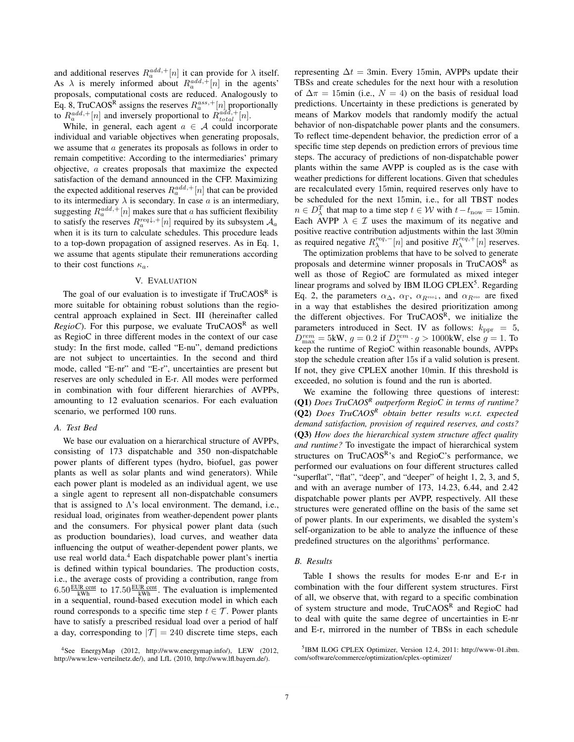and additional reserves  $R_a^{add,+}[n]$  it can provide for  $\lambda$  itself.<br>As  $\lambda$  is merely informed about  $R^{add,+}[n]$  in the agents' As  $\lambda$  is merely informed about  $R_a^{add,\hat{+}}[n]$  in the agents' proposals, computational costs are reduced. Analogously to Eq. 8, TruCAOS<sup>R</sup> assigns the reserves  $R_a^{ass,+}[n]$  proportionally<br>to  $R^{add,+}[n]$  and inversely proportional to  $R^{add,+}[n]$ to  $R_a^{add, +}[n]$  and inversely proportional to  $R_{add}^{add, +}[n]$ .<br>While in general each agent  $a \in A$  could incom-

While, in general, each agent  $a \in \mathcal{A}$  could incorporate individual and variable objectives when generating proposals, we assume that a generates its proposals as follows in order to remain competitive: According to the intermediaries' primary objective, a creates proposals that maximize the expected satisfaction of the demand announced in the CFP. Maximizing the expected additional reserves  $R_a^{add,+}[n]$  that can be provided<br>to its intermediary  $\lambda$  is secondary. In case *a* is an intermediary to its intermediary  $\lambda$  is secondary. In case a is an intermediary, suggesting  $R_a^{add,+}[n]$  makes sure that a has sufficient flexibility<br>to satisfy the reserves  $R^{req+,+}[n]$  required by its subsystem A to satisfy the reserves  $R_a^{req, +}[n]$  required by its subsystem  $A_a$ <br>when it is its turn to calculate schedules. This procedure leads when it is its turn to calculate schedules. This procedure leads to a top-down propagation of assigned reserves. As in Eq. 1, we assume that agents stipulate their remunerations according to their cost functions  $\kappa_a$ .

#### V. EVALUATION

The goal of our evaluation is to investigate if  $TruCAOS<sup>R</sup>$  is more suitable for obtaining robust solutions than the regiocentral approach explained in Sect. III (hereinafter called *RegioC*). For this purpose, we evaluate  $TruCAOS<sup>R</sup>$  as well as RegioC in three different modes in the context of our case study: In the first mode, called "E-nu", demand predictions are not subject to uncertainties. In the second and third mode, called "E-nr" and "E-r", uncertainties are present but reserves are only scheduled in E-r. All modes were performed in combination with four different hierarchies of AVPPs, amounting to 12 evaluation scenarios. For each evaluation scenario, we performed 100 runs.

## *A. Test Bed*

We base our evaluation on a hierarchical structure of AVPPs, consisting of 173 dispatchable and 350 non-dispatchable power plants of different types (hydro, biofuel, gas power plants as well as solar plants and wind generators). While each power plant is modeled as an individual agent, we use a single agent to represent all non-dispatchable consumers that is assigned to  $\Lambda$ 's local environment. The demand, i.e., residual load, originates from weather-dependent power plants and the consumers. For physical power plant data (such as production boundaries), load curves, and weather data influencing the output of weather-dependent power plants, we use real world data. <sup>4</sup> Each dispatchable power plant's inertia is defined within typical boundaries. The production costs, i.e., the average costs of providing a contribution, range from  $6.50 \frac{\text{EUR cent}}{\text{KWh}}$  to 17.50  $\frac{\text{EUR cent}}{\text{KWh}}$ . The evaluation is implemented<br>in a sequential round-based execution model in which each in a sequential, round-based execution model in which each round corresponds to a specific time step  $t \in \mathcal{T}$ . Power plants have to satisfy a prescribed residual load over a period of half a day, corresponding to  $|T| = 240$  discrete time steps, each representing  $\Delta t = 3$ min. Every 15min, AVPPs update their TBSs and create schedules for the next hour with a resolution of  $\Delta \pi = 15$ min (i.e.,  $N = 4$ ) on the basis of residual load predictions. Uncertainty in these predictions is generated by means of Markov models that randomly modify the actual behavior of non-dispatchable power plants and the consumers. To reflect time-dependent behavior, the prediction error of a specific time step depends on prediction errors of previous time steps. The accuracy of predictions of non-dispatchable power plants within the same AVPP is coupled as is the case with weather predictions for different locations. Given that schedules are recalculated every 15min, required reserves only have to be scheduled for the next 15min, i.e., for all TBST nodes  $n \in D_{\lambda}^{T}$  that map to a time step  $t \in \mathcal{W}$  with  $t-t_{\text{now}} = 15$ min.<br>Each AVPP  $\lambda \in \mathcal{T}$  uses the maximum of its negative and Each AVPP  $\lambda \in \mathcal{I}$  uses the maximum of its negative and positive reactive contribution adjustments within the last 30min as required negative  $R_{\lambda}^{req,-}[n]$  and positive  $R_{\lambda}^{req,+}[n]$  reserves.<br>The optimization problems that have to be solved to generate.

The optimization problems that have to be solved to generate proposals and determine winner proposals in TruCAOSR as well as those of RegioC are formulated as mixed integer linear programs and solved by IBM ILOG CPLEX<sup>5</sup>. Regarding Eq. 2, the parameters  $\alpha_{\Delta}$ ,  $\alpha_{\Gamma}$ ,  $\alpha_{R^{vio}}$ , and  $\alpha_{R^{vio}}$  are fixed in a way that establishes the desired prioritization among the different objectives. For TruCAOS<sup>R</sup>, we initialize the parameters introduced in Sect. IV as follows:  $k_{\text{ppr}} = 5$ ,  $\hat{D}_{\text{max}}^{rem} = 5 \text{kW}, g = 0.2 \text{ if } D_{\lambda}^{rem} \cdot g > 1000 \text{kW}, \text{ else } g = 1. \text{ To } \text{keep the runtime of } \text{ResioC within reasonable bounds}$ keep the runtime of RegioC within reasonable bounds, AVPPs stop the schedule creation after 15s if a valid solution is present. If not, they give CPLEX another 10min. If this threshold is exceeded, no solution is found and the run is aborted.

We examine the following three questions of interest: (Q1) *Does TruCAOS <sup>R</sup> outperform RegioC in terms of runtime?* (Q2) *Does TruCAOS <sup>R</sup> obtain better results w.r.t. expected demand satisfaction, provision of required reserves, and costs?* (Q3) *How does the hierarchical system structure af ect quality and runtime?* To investigate the impact of hierarchical system structures on TruCAOS<sup>R</sup>'s and RegioC's performance, we performed our evaluations on four different structures called "superflat", "flat", "deep", and "deeper" of height 1, 2, 3, and 5, and with an average number of 173, 14.23, 6.44, and 2.42 dispatchable power plants per AVPP, respectively. All these structures were generated offline on the basis of the same set of power plants. In our experiments, we disabled the system's self-organization to be able to analyze the influence of these predefined structures on the algorithms' performance.

## *B. Results*

Table I shows the results for modes E-nr and E-r in combination with the four different system structures. First of all, we observe that, with regard to a specific combination of system structure and mode, TruCAOSR and RegioC had to deal with quite the same degree of uncertainties in E-nr and E-r, mirrored in the number of TBSs in each schedule

<sup>4</sup>See EnergyMap (2012, http://www.energymap.info/), LEW (2012, http://www.lew-verteilnetz.de/), and LfL (2010, http://www.lfl.bayern.de/).

<sup>5</sup> IBM ILOG CPLEX Optimizer, Version 12.4, 2011: http://www-01.ibm. com/software/commerce/optimization/cplex-optimizer/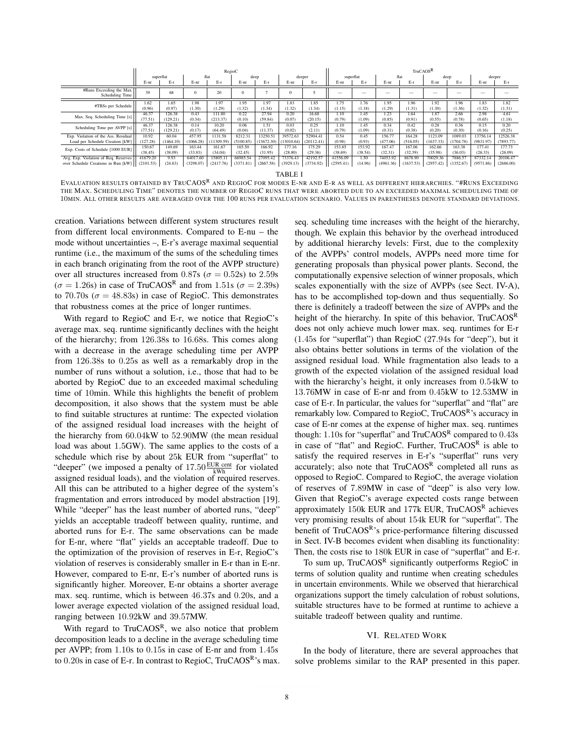|                                             | RegioC    |           |              |            |           |           |           |            | $TruCAOS^R$              |                          |           |                          |           |           |           |           |
|---------------------------------------------|-----------|-----------|--------------|------------|-----------|-----------|-----------|------------|--------------------------|--------------------------|-----------|--------------------------|-----------|-----------|-----------|-----------|
|                                             | superflat |           | flat         |            | deep      |           | deeper    |            | superflat                |                          | flat      |                          | deep      |           | deeper    |           |
|                                             | E-nr      | $E-r$     | E-nr         | E-r        | E-nr      | E-r       | $E-nr$    | E-r        | $E-n$                    | E-r                      | $E-nr$    | $E-r$                    | E-nr      | $E-r$     | E-nr      | $E-r$     |
| #Runs Exceeding the Max.<br>Scheduling Time | 39        | 68        | $\mathbf{0}$ | 20         | 0         |           | $\Omega$  |            | $\overline{\phantom{a}}$ | $\overline{\phantom{a}}$ | -         | $\overline{\phantom{a}}$ | -         | -         |           |           |
| #TBSs per Schedule                          | 1.62      | 1.65      | 1.98         | 1.97       | 1.95      | 1.97      | 1.83      | 1.85       | 1.75                     | 1.76                     | 1.95      | 1.96                     | 1.92      | 1.96      | 1.83      | 1.82      |
|                                             | (0.96)    | (0.97)    | (1.30)       | (1.29)     | (1.32)    | (1.34)    | (1.32)    | (1.34)     | (1.15)                   | (1.18)                   | (1.29)    | (1.31)                   | (1.30)    | (1.36)    | (1.32)    | (1.31)    |
| Max. Seq. Scheduling Time [s]               | 46.37     | 126.38    | 0.43         | 111.80     | 0.22      | 27.94     | 0.20      | 16.68      | 1.10                     | 1.45                     | 1.23      | 1.64                     | 1.87      | 2.66      | 2.98      | 4.61      |
|                                             | (77.51)   | (129.21)  | (0.34)       | (213.37)   | (0.10)    | (59.84)   | (0.07)    | (20.15)    | (0.79)                   | (1.09)                   | (0.85)    | (0.91)                   | (0.55)    | (0.78)    | (0.65)    | (1.18)    |
| Scheduling Time per AVPP [s]                | 46.37     | 126.38    | 0.14         | 10.20      | 0.06      | 1.51      | 0.03      | 0.25       | 1.10                     | 1.45                     | 0.34      | 0.42                     | 0.28      | 0.36      | 0.15      | 0.20      |
|                                             | (77.51)   | (129.21)  | (0.17)       | (64.49)    | (0.04)    | (11.37)   | (0.02)    | (2.11)     | (0.79)                   | (1.09)                   | (0.31)    | (0.38)                   | (0.20)    | (0.30)    | (0.16)    | (0.25)    |
| Exp. Violation of the Ass. Residual         | 10.92     | 60.04     | 457.95       | 1131.58    | 8212.31   | 13250.51  | 39572.63  | 52904.41   | 0.54                     | 0.45                     | 156.77    | 164.28                   | 1123.09   | 1089.03   | 13756.14  | 12526.38  |
| Load per Schedule Creation [kW]             | (127.28)  | (1464.10) | (1066.28)    | (11309.59) | (5100.85) | 13672.30  | 13010.64) | (20112.41) | (0.98)                   | (0.93)                   | (477.06)  | (516.05)                 | (1637.33) | (1704.78) | (9831.97) | (7893.77) |
| Exp. Costs of Schedule [1000 EUR]           | 150.67    | 149.69    | 163.44       | 161.67     | 165.50    | 166.92    | 177.16    | 175.29     | 153.85                   | 153.92                   | 167.47    | 167.06                   | 162.66    | 163.38    | 177.41    | 177.73    |
|                                             | (38.45)   | (38.09)   | (33.83)      | (34.04)    | (32.45)   | (31.95)   | (28.80)   | (29.36)    | (38.69)                  | (38.54)                  | (32.31)   | (32.39)                  | (35.98)   | (36.03)   | (26.33)   | (26.09)   |
| Avg. Exp. Violation of Req. Reserves        | 41679.20  | 9.93      | 64017.60     | 15805.1    | 66985.54  | 27095.42  | 73376.43  | 42192.57   | 41556.09                 | 1.50                     | 74053.92  | 8678.90                  | 70029.36  | 7886.57   | 87332.14  | 20106.47  |
| over Schedule Creations in Run [kW]         | (2101.53) | (24.63)   | (3298.07)    | (2417.76)  | (3371.81) | (2667.58) | (3929.13) | (3734.92)  | (2595.41)                | (14.96)                  | (4961.36) | (1637.53)                | (2957.42) | (1352.67) | (9571.86) | (2686.00) |

TABLE I

EVALUATION RESULTS OBTAINED BY TRUCAOS<sup>r</sup> and RegioC for modes E-nr and E-r as well as different hierarchies. "#Runs Exceeding THE MAX. SCHEDULING TIME" DENOTES THE NUMBER OF REGIOC RUNS THAT WERE ABORTED DUE TO AN EXCEEDED MAXIMAL SCHEDULING TIME OF 10MIN. ALL OTHER RESULTS ARE AVERAGED OVER THE 100 RUNS PER EVALUATION SCENARIO. VALUES IN PARENTHESES DENOTE STANDARD DEVIATIONS.

creation. Variations between different system structures result from different local environments. Compared to E-nu – the mode without uncertainties –, E-r's average maximal sequential runtime (i.e., the maximum of the sums of the scheduling times in each branch originating from the root of the AVPP structure) over all structures increased from 0.87s ( $\sigma = 0.52$ s) to 2.59s  $(\sigma = 1.26$ s) in case of TruCAOS<sup>R</sup> and from 1.51s ( $\sigma = 2.39$ s)<br>to 70.70s ( $\sigma = 48.83$ s) in case of RegioC. This demonstrates to 70.70s ( $\sigma = 48.83$ s) in case of RegioC. This demonstrates that robustness comes at the price of longer runtimes.

With regard to RegioC and E-r, we notice that RegioC's average max. seq. runtime significantly declines with the height of the hierarchy; from <sup>126</sup>.38<sup>s</sup> to <sup>16</sup>.68s. This comes along with a decrease in the average scheduling time per AVPP from <sup>126</sup>.38<sup>s</sup> to <sup>0</sup>.25<sup>s</sup> as well as <sup>a</sup> remarkably drop in the number of runs without a solution, i.e., those that had to be aborted by RegioC due to an exceeded maximal scheduling time of 10min. While this highlights the benefit of problem decomposition, it also shows that the system must be able to find suitable structures at runtime: The expected violation of the assigned residual load increases with the height of the hierarchy from <sup>60</sup>.04kW to <sup>52</sup>.90MW (the mean residual load was about <sup>1</sup>.5GW). The same applies to the costs of <sup>a</sup> schedule which rise by about 25k EUR from "superflat" to "deeper" (we imposed a penalty of  $17.50 \frac{EUR cent}{KWh}$  for violated assigned residual loads) and the violation of required reserves assigned residual loads), and the violation of required reserves. All this can be attributed to a higher degree of the system's fragmentation and errors introduced by model abstraction [19]. While "deeper" has the least number of aborted runs, "deep" yields an acceptable tradeoff between quality, runtime, and aborted runs for E-r. The same observations can be made for E-nr, where "flat" yields an acceptable tradeoff. Due to the optimization of the provision of reserves in E-r, RegioC's violation of reserves is considerably smaller in E-r than in E-nr. However, compared to E-nr, E-r's number of aborted runs is significantly higher. Moreover, E-nr obtains a shorter average max. seq. runtime, which is between <sup>46</sup>.37<sup>s</sup> and <sup>0</sup>.20s, and <sup>a</sup> lower average expected violation of the assigned residual load, ranging between <sup>10</sup>.92kW and <sup>39</sup>.57MW.

With regard to TruCAOS<sup>R</sup>, we also notice that problem decomposition leads to a decline in the average scheduling time per AVPP; from <sup>1</sup>.10<sup>s</sup> to <sup>0</sup>.15<sup>s</sup> in case of E-nr and from <sup>1</sup>.45<sup>s</sup> to  $0.20$ s in case of E-r. In contrast to RegioC, TruCAOS<sup>R</sup>'s max. seq. scheduling time increases with the height of the hierarchy, though. We explain this behavior by the overhead introduced by additional hierarchy levels: First, due to the complexity of the AVPPs' control models, AVPPs need more time for generating proposals than physical power plants. Second, the computationally expensive selection of winner proposals, which scales exponentially with the size of AVPPs (see Sect. IV-A), has to be accomplished top-down and thus sequentially. So there is definitely a tradeoff between the size of AVPPs and the height of the hierarchy. In spite of this behavior, TruCAOSR does not only achieve much lower max. seq. runtimes for E-r (1.45<sup>s</sup> for "superflat") than RegioC (27.94<sup>s</sup> for "deep"), but it also obtains better solutions in terms of the violation of the assigned residual load. While fragmentation also leads to a growth of the expected violation of the assigned residual load with the hierarchy's height, it only increases from <sup>0</sup>.54kW to <sup>13</sup>.76MW in case of E-nr and from <sup>0</sup>.45kW to <sup>12</sup>.53MW in case of E-r. In particular, the values for "superflat" and "flat" are remarkably low. Compared to RegioC, TruCAOSR's accuracy in case of E-nr comes at the expense of higher max. seq. runtimes though: 1.10s for "superflat" and TruCAOS<sup>R</sup> compared to 0.43s<br>in case of "flat" and RegioC. Further, TruCAOS<sup>R</sup> is able to in case of "flat" and RegioC. Further, TruCAOS<sup>R</sup> is able to satisfy the required reserves in E-r's "superflat" runs very accurately; also note that TruCAOSR completed all runs as opposed to RegioC. Compared to RegioC, the average violation of reserves of <sup>7</sup>.89MW in case of "deep" is also very low. Given that RegioC's average expected costs range between approximately 150k EUR and 177k EUR, TruCAOSR achieves very promising results of about 154k EUR for "superflat". The benefit of TruCAOSR's price-performance filtering discussed in Sect. IV-B becomes evident when disabling its functionality: Then, the costs rise to 180k EUR in case of "superflat" and E-r.

To sum up, TruCAOSR significantly outperforms RegioC in terms of solution quality and runtime when creating schedules in uncertain environments. While we observed that hierarchical organizations support the timely calculation of robust solutions, suitable structures have to be formed at runtime to achieve a suitable tradeoff between quality and runtime.

#### VI. RELATED WORK

In the body of literature, there are several approaches that solve problems similar to the RAP presented in this paper.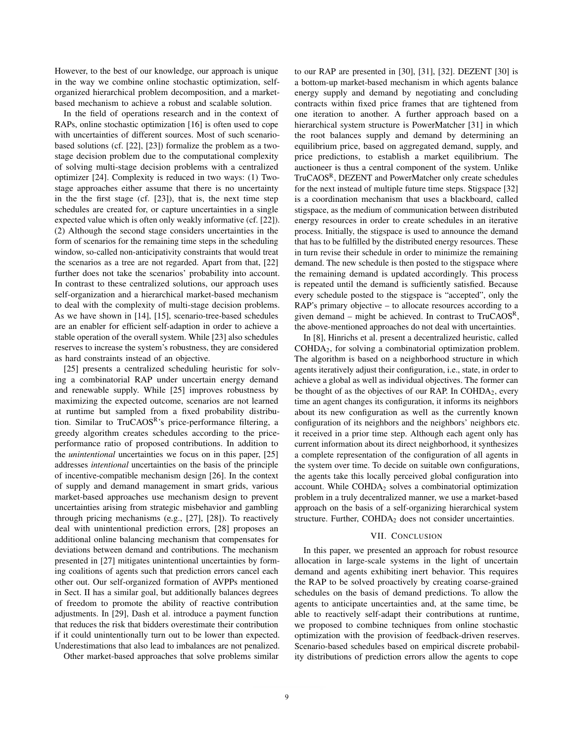However, to the best of our knowledge, our approach is unique in the way we combine online stochastic optimization, selforganized hierarchical problem decomposition, and a marketbased mechanism to achieve a robust and scalable solution.

In the field of operations research and in the context of RAPs, online stochastic optimization [16] is often used to cope with uncertainties of different sources. Most of such scenariobased solutions (cf. [22], [23]) formalize the problem as a twostage decision problem due to the computational complexity of solving multi-stage decision problems with a centralized optimizer [24]. Complexity is reduced in two ways: (1) Twostage approaches either assume that there is no uncertainty in the the first stage (cf. [23]), that is, the next time step schedules are created for, or capture uncertainties in a single expected value which is often only weakly informative (cf. [22]). (2) Although the second stage considers uncertainties in the form of scenarios for the remaining time steps in the scheduling window, so-called non-anticipativity constraints that would treat the scenarios as a tree are not regarded. Apart from that, [22] further does not take the scenarios' probability into account. In contrast to these centralized solutions, our approach uses self-organization and a hierarchical market-based mechanism to deal with the complexity of multi-stage decision problems. As we have shown in [14], [15], scenario-tree-based schedules are an enabler for efficient self-adaption in order to achieve a stable operation of the overall system. While [23] also schedules reserves to increase the system's robustness, they are considered as hard constraints instead of an objective.

[25] presents a centralized scheduling heuristic for solving a combinatorial RAP under uncertain energy demand and renewable supply. While [25] improves robustness by maximizing the expected outcome, scenarios are not learned at runtime but sampled from a fixed probability distribution. Similar to TruCAOSR's price-performance filtering, a greedy algorithm creates schedules according to the priceperformance ratio of proposed contributions. In addition to the *unintentional* uncertainties we focus on in this paper, [25] addresses *intentional* uncertainties on the basis of the principle of incentive-compatible mechanism design [26]. In the context of supply and demand management in smart grids, various market-based approaches use mechanism design to prevent uncertainties arising from strategic misbehavior and gambling through pricing mechanisms (e.g., [27], [28]). To reactively deal with unintentional prediction errors, [28] proposes an additional online balancing mechanism that compensates for deviations between demand and contributions. The mechanism presented in [27] mitigates unintentional uncertainties by forming coalitions of agents such that prediction errors cancel each other out. Our self-organized formation of AVPPs mentioned in Sect. II has a similar goal, but additionally balances degrees of freedom to promote the ability of reactive contribution adjustments. In [29], Dash et al. introduce a payment function that reduces the risk that bidders overestimate their contribution if it could unintentionally turn out to be lower than expected. Underestimations that also lead to imbalances are not penalized.

Other market-based approaches that solve problems similar

to our RAP are presented in [30], [31], [32]. DEZENT [30] is a bottom-up market-based mechanism in which agents balance energy supply and demand by negotiating and concluding contracts within fixed price frames that are tightened from one iteration to another. A further approach based on a hierarchical system structure is PowerMatcher [31] in which the root balances supply and demand by determining an equilibrium price, based on aggregated demand, supply, and price predictions, to establish a market equilibrium. The auctioneer is thus a central component of the system. Unlike TruCAOS<sup>R</sup>, DEZENT and PowerMatcher only create schedules for the next instead of multiple future time steps. Stigspace [32] is a coordination mechanism that uses a blackboard, called stigspace, as the medium of communication between distributed energy resources in order to create schedules in an iterative process. Initially, the stigspace is used to announce the demand that has to be fulfilled by the distributed energy resources. These in turn revise their schedule in order to minimize the remaining demand. The new schedule is then posted to the stigspace where the remaining demand is updated accordingly. This process is repeated until the demand is sufficiently satisfied. Because every schedule posted to the stigspace is "accepted", only the RAP's primary objective – to allocate resources according to a given demand – might be achieved. In contrast to TruCAOS<sup>R</sup>, the above-mentioned approaches do not deal with uncertainties.

In [8], Hinrichs et al. present a decentralized heuristic, called COHDA2, for solving a combinatorial optimization problem. The algorithm is based on a neighborhood structure in which agents iteratively adjust their configuration, i.e., state, in order to achieve a global as well as individual objectives. The former can be thought of as the objectives of our RAP. In COHDA<sub>2</sub>, every time an agent changes its configuration, it informs its neighbors about its new configuration as well as the currently known configuration of its neighbors and the neighbors' neighbors etc. it received in a prior time step. Although each agent only has current information about its direct neighborhood, it synthesizes a complete representation of the configuration of all agents in the system over time. To decide on suitable own configurations, the agents take this locally perceived global configuration into account. While  $COHDA<sub>2</sub>$  solves a combinatorial optimization problem in a truly decentralized manner, we use a market-based approach on the basis of a self-organizing hierarchical system structure. Further, COHDA<sub>2</sub> does not consider uncertainties.

#### VII. CONCLUSION

In this paper, we presented an approach for robust resource allocation in large-scale systems in the light of uncertain demand and agents exhibiting inert behavior. This requires the RAP to be solved proactively by creating coarse-grained schedules on the basis of demand predictions. To allow the agents to anticipate uncertainties and, at the same time, be able to reactively self-adapt their contributions at runtime, we proposed to combine techniques from online stochastic optimization with the provision of feedback-driven reserves. Scenario-based schedules based on empirical discrete probability distributions of prediction errors allow the agents to cope